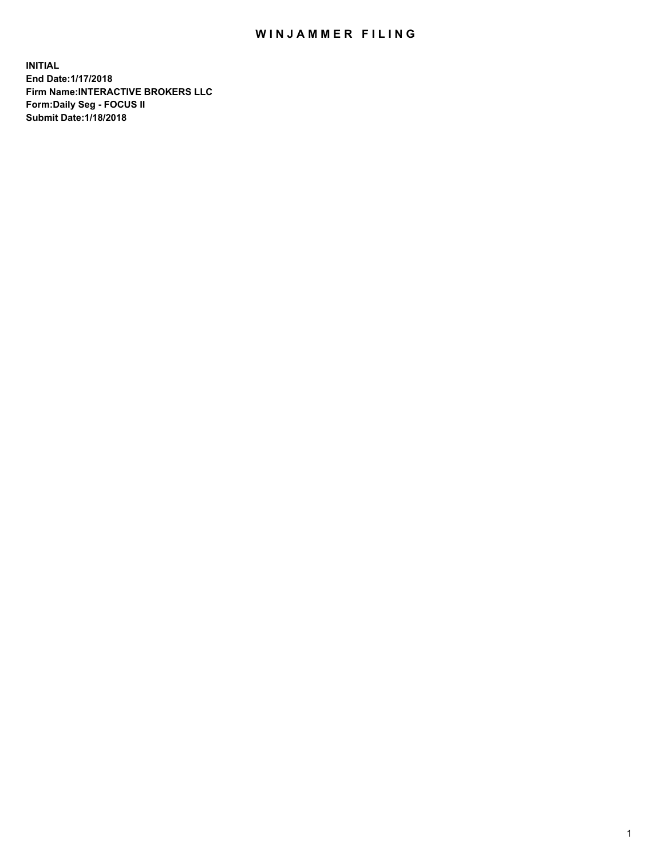## WIN JAMMER FILING

**INITIAL End Date:1/17/2018 Firm Name:INTERACTIVE BROKERS LLC Form:Daily Seg - FOCUS II Submit Date:1/18/2018**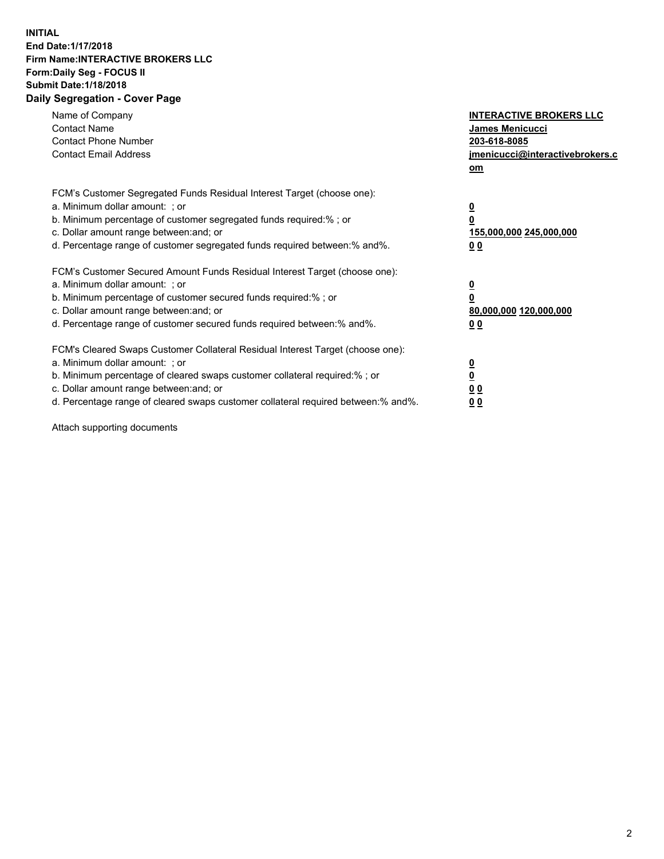## **INITIAL End Date:1/17/2018 Firm Name:INTERACTIVE BROKERS LLC Form:Daily Seg - FOCUS II Submit Date:1/18/2018 Daily Segregation - Cover Page**

| Name of Company<br><b>Contact Name</b><br><b>Contact Phone Number</b>                                                                                                                                                                                                                                                          | <b>INTERACTIVE BROKERS LLC</b><br><b>James Menicucci</b><br>203-618-8085                        |
|--------------------------------------------------------------------------------------------------------------------------------------------------------------------------------------------------------------------------------------------------------------------------------------------------------------------------------|-------------------------------------------------------------------------------------------------|
| <b>Contact Email Address</b>                                                                                                                                                                                                                                                                                                   | jmenicucci@interactivebrokers.c<br>om                                                           |
| FCM's Customer Segregated Funds Residual Interest Target (choose one):<br>a. Minimum dollar amount: ; or<br>b. Minimum percentage of customer segregated funds required:% ; or<br>c. Dollar amount range between: and; or<br>d. Percentage range of customer segregated funds required between:% and%.                         | $\overline{\mathbf{0}}$<br>$\overline{\mathbf{0}}$<br>155,000,000 245,000,000<br>0 <sub>0</sub> |
| FCM's Customer Secured Amount Funds Residual Interest Target (choose one):<br>a. Minimum dollar amount: ; or<br>b. Minimum percentage of customer secured funds required:%; or<br>c. Dollar amount range between: and; or<br>d. Percentage range of customer secured funds required between: % and %.                          | $\overline{\mathbf{0}}$<br>$\overline{\mathbf{0}}$<br>80,000,000 120,000,000<br>0 <sub>0</sub>  |
| FCM's Cleared Swaps Customer Collateral Residual Interest Target (choose one):<br>a. Minimum dollar amount: ; or<br>b. Minimum percentage of cleared swaps customer collateral required:% ; or<br>c. Dollar amount range between: and; or<br>d. Percentage range of cleared swaps customer collateral required between:% and%. | $\overline{\mathbf{0}}$<br>$\underline{\mathbf{0}}$<br>0 <sub>0</sub><br>0 <sup>0</sup>         |

Attach supporting documents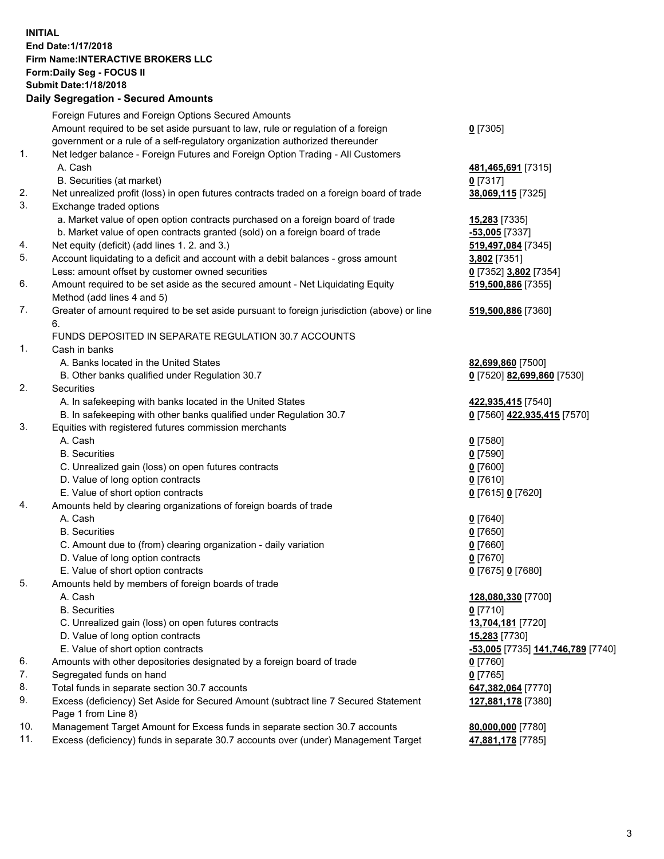## **INITIAL End Date:1/17/2018 Firm Name:INTERACTIVE BROKERS LLC Form:Daily Seg - FOCUS II Submit Date:1/18/2018 Daily Segregation - Secured Amounts**

|                | Dany Ocgregation - Oceanea Amounts                                                          |                                   |
|----------------|---------------------------------------------------------------------------------------------|-----------------------------------|
|                | Foreign Futures and Foreign Options Secured Amounts                                         |                                   |
|                | Amount required to be set aside pursuant to law, rule or regulation of a foreign            | $0$ [7305]                        |
|                | government or a rule of a self-regulatory organization authorized thereunder                |                                   |
| 1.             | Net ledger balance - Foreign Futures and Foreign Option Trading - All Customers             |                                   |
|                | A. Cash                                                                                     | 481,465,691 [7315]                |
|                | B. Securities (at market)                                                                   | $0$ [7317]                        |
| 2.             | Net unrealized profit (loss) in open futures contracts traded on a foreign board of trade   | 38,069,115 [7325]                 |
| 3.             | Exchange traded options                                                                     |                                   |
|                |                                                                                             |                                   |
|                | a. Market value of open option contracts purchased on a foreign board of trade              | 15,283 [7335]                     |
|                | b. Market value of open contracts granted (sold) on a foreign board of trade                | -53,005 [7337]                    |
| 4.             | Net equity (deficit) (add lines 1.2. and 3.)                                                | 519,497,084 [7345]                |
| 5.             | Account liquidating to a deficit and account with a debit balances - gross amount           | 3,802 [7351]                      |
|                | Less: amount offset by customer owned securities                                            | 0 [7352] 3,802 [7354]             |
| 6.             | Amount required to be set aside as the secured amount - Net Liquidating Equity              | 519,500,886 [7355]                |
|                | Method (add lines 4 and 5)                                                                  |                                   |
| 7.             | Greater of amount required to be set aside pursuant to foreign jurisdiction (above) or line | 519,500,886 [7360]                |
|                | 6.                                                                                          |                                   |
|                | FUNDS DEPOSITED IN SEPARATE REGULATION 30.7 ACCOUNTS                                        |                                   |
| $\mathbf{1}$ . | Cash in banks                                                                               |                                   |
|                | A. Banks located in the United States                                                       | 82,699,860 [7500]                 |
|                | B. Other banks qualified under Regulation 30.7                                              | 0 [7520] 82,699,860 [7530]        |
| 2.             | <b>Securities</b>                                                                           |                                   |
|                | A. In safekeeping with banks located in the United States                                   | 422,935,415 [7540]                |
|                | B. In safekeeping with other banks qualified under Regulation 30.7                          | 0 [7560] 422,935,415 [7570]       |
| 3.             | Equities with registered futures commission merchants                                       |                                   |
|                | A. Cash                                                                                     | $0$ [7580]                        |
|                | <b>B.</b> Securities                                                                        | $0$ [7590]                        |
|                | C. Unrealized gain (loss) on open futures contracts                                         | $0$ [7600]                        |
|                | D. Value of long option contracts                                                           | $0$ [7610]                        |
|                | E. Value of short option contracts                                                          | 0 [7615] 0 [7620]                 |
| 4.             | Amounts held by clearing organizations of foreign boards of trade                           |                                   |
|                | A. Cash                                                                                     |                                   |
|                |                                                                                             | $0$ [7640]                        |
|                | <b>B.</b> Securities                                                                        | $0$ [7650]                        |
|                | C. Amount due to (from) clearing organization - daily variation                             | $0$ [7660]                        |
|                | D. Value of long option contracts                                                           | $0$ [7670]                        |
|                | E. Value of short option contracts                                                          | 0 [7675] 0 [7680]                 |
| 5.             | Amounts held by members of foreign boards of trade                                          |                                   |
|                | A. Cash                                                                                     | 128,080,330 [7700]                |
|                | <b>B.</b> Securities                                                                        | $0$ [7710]                        |
|                | C. Unrealized gain (loss) on open futures contracts                                         | 13,704,181 [7720]                 |
|                | D. Value of long option contracts                                                           | 15,283 [7730]                     |
|                | E. Value of short option contracts                                                          | -53,005 [7735] 141,746,789 [7740] |
| 6.             | Amounts with other depositories designated by a foreign board of trade                      | 0 [7760]                          |
| 7.             | Segregated funds on hand                                                                    | $0$ [7765]                        |
| 8.             | Total funds in separate section 30.7 accounts                                               | 647,382,064 [7770]                |
| 9.             | Excess (deficiency) Set Aside for Secured Amount (subtract line 7 Secured Statement         | 127,881,178 [7380]                |
|                | Page 1 from Line 8)                                                                         |                                   |
| 10.            | Management Target Amount for Excess funds in separate section 30.7 accounts                 | 80,000,000 [7780]                 |
| 11.            | Excess (deficiency) funds in separate 30.7 accounts over (under) Management Target          | 47,881,178 [7785]                 |
|                |                                                                                             |                                   |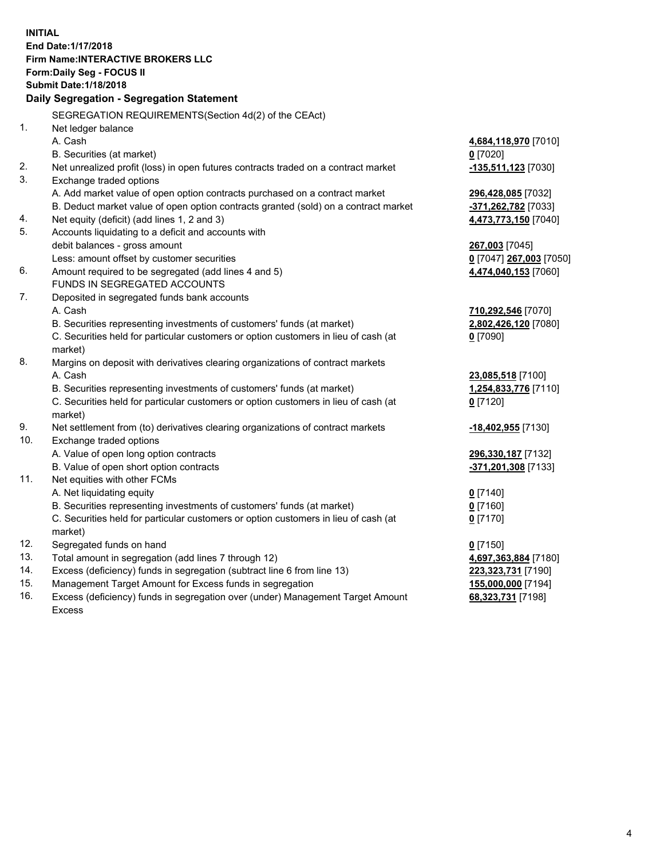**INITIAL End Date:1/17/2018 Firm Name:INTERACTIVE BROKERS LLC Form:Daily Seg - FOCUS II Submit Date:1/18/2018 Daily Segregation - Segregation Statement** SEGREGATION REQUIREMENTS(Section 4d(2) of the CEAct) 1. Net ledger balance A. Cash **4,684,118,970** [7010] B. Securities (at market) **0** [7020] 2. Net unrealized profit (loss) in open futures contracts traded on a contract market **-135,511,123** [7030] 3. Exchange traded options A. Add market value of open option contracts purchased on a contract market **296,428,085** [7032] B. Deduct market value of open option contracts granted (sold) on a contract market **-371,262,782** [7033] 4. Net equity (deficit) (add lines 1, 2 and 3) **4,473,773,150** [7040] 5. Accounts liquidating to a deficit and accounts with debit balances - gross amount **267,003** [7045] Less: amount offset by customer securities **0** [7047] **267,003** [7050] 6. Amount required to be segregated (add lines 4 and 5) **4,474,040,153** [7060] FUNDS IN SEGREGATED ACCOUNTS 7. Deposited in segregated funds bank accounts A. Cash **710,292,546** [7070] B. Securities representing investments of customers' funds (at market) **2,802,426,120** [7080] C. Securities held for particular customers or option customers in lieu of cash (at market) **0** [7090] 8. Margins on deposit with derivatives clearing organizations of contract markets A. Cash **23,085,518** [7100] B. Securities representing investments of customers' funds (at market) **1,254,833,776** [7110] C. Securities held for particular customers or option customers in lieu of cash (at market) **0** [7120] 9. Net settlement from (to) derivatives clearing organizations of contract markets **-18,402,955** [7130] 10. Exchange traded options A. Value of open long option contracts **296,330,187** [7132] B. Value of open short option contracts **-371,201,308** [7133] 11. Net equities with other FCMs A. Net liquidating equity **0** [7140] B. Securities representing investments of customers' funds (at market) **0** [7160] C. Securities held for particular customers or option customers in lieu of cash (at market) **0** [7170] 12. Segregated funds on hand **0** [7150] 13. Total amount in segregation (add lines 7 through 12) **4,697,363,884** [7180] 14. Excess (deficiency) funds in segregation (subtract line 6 from line 13) **223,323,731** [7190] 15. Management Target Amount for Excess funds in segregation **155,000,000** [7194] **68,323,731** [7198]

16. Excess (deficiency) funds in segregation over (under) Management Target Amount Excess